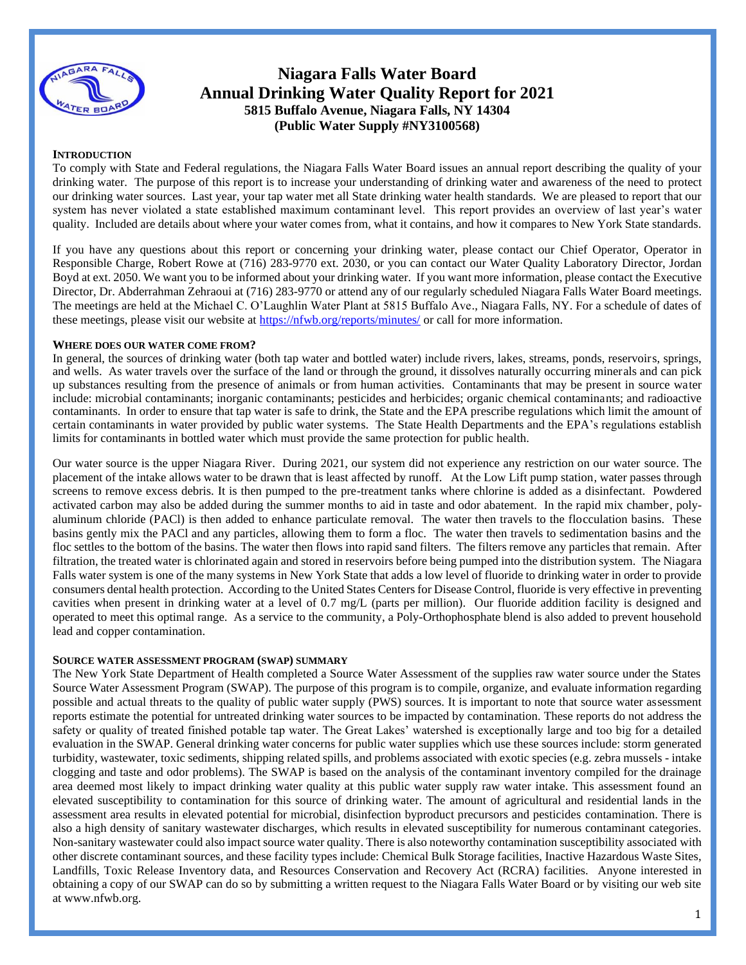

# **Niagara Falls Water Board Annual Drinking Water Quality Report for 2021 5815 Buffalo Avenue, Niagara Falls, NY 14304 (Public Water Supply #NY3100568)**

## **INTRODUCTION**

To comply with State and Federal regulations, the Niagara Falls Water Board issues an annual report describing the quality of your drinking water. The purpose of this report is to increase your understanding of drinking water and awareness of the need to protect our drinking water sources. Last year, your tap water met all State drinking water health standards. We are pleased to report that our system has never violated a state established maximum contaminant level. This report provides an overview of last year's water quality. Included are details about where your water comes from, what it contains, and how it compares to New York State standards.

If you have any questions about this report or concerning your drinking water, please contact our Chief Operator, Operator in Responsible Charge, Robert Rowe at (716) 283-9770 ext. 2030, or you can contact our Water Quality Laboratory Director, Jordan Boyd at ext. 2050. We want you to be informed about your drinking water. If you want more information, please contact the Executive Director, Dr. Abderrahman Zehraoui at (716) 283-9770 or attend any of our regularly scheduled Niagara Falls Water Board meetings. The meetings are held at the Michael C. O'Laughlin Water Plant at 5815 Buffalo Ave., Niagara Falls, NY. For a schedule of dates of these meetings, please visit our website at<https://nfwb.org/reports/minutes/> or call for more information.

# **WHERE DOES OUR WATER COME FROM?**

In general, the sources of drinking water (both tap water and bottled water) include rivers, lakes, streams, ponds, reservoirs, springs, and wells. As water travels over the surface of the land or through the ground, it dissolves naturally occurring minerals and can pick up substances resulting from the presence of animals or from human activities. Contaminants that may be present in source water include: microbial contaminants; inorganic contaminants; pesticides and herbicides; organic chemical contaminants; and radioactive contaminants. In order to ensure that tap water is safe to drink, the State and the EPA prescribe regulations which limit the amount of certain contaminants in water provided by public water systems. The State Health Departments and the EPA's regulations establish limits for contaminants in bottled water which must provide the same protection for public health.

Our water source is the upper Niagara River. During 2021, our system did not experience any restriction on our water source. The placement of the intake allows water to be drawn that is least affected by runoff. At the Low Lift pump station, water passes through screens to remove excess debris. It is then pumped to the pre-treatment tanks where chlorine is added as a disinfectant. Powdered activated carbon may also be added during the summer months to aid in taste and odor abatement. In the rapid mix chamber, polyaluminum chloride (PACl) is then added to enhance particulate removal. The water then travels to the flocculation basins. These basins gently mix the PACl and any particles, allowing them to form a floc. The water then travels to sedimentation basins and the floc settles to the bottom of the basins. The water then flows into rapid sand filters. The filters remove any particles that remain. After filtration, the treated water is chlorinated again and stored in reservoirs before being pumped into the distribution system. The Niagara Falls water system is one of the many systems in New York State that adds a low level of fluoride to drinking water in order to provide consumers dental health protection. According to the United States Centers for Disease Control, fluoride is very effective in preventing cavities when present in drinking water at a level of 0.7 mg/L (parts per million). Our fluoride addition facility is designed and operated to meet this optimal range. As a service to the community, a Poly-Orthophosphate blend is also added to prevent household lead and copper contamination.

## **SOURCE WATER ASSESSMENT PROGRAM (SWAP) SUMMARY**

The New York State Department of Health completed a Source Water Assessment of the supplies raw water source under the States Source Water Assessment Program (SWAP). The purpose of this program is to compile, organize, and evaluate information regarding possible and actual threats to the quality of public water supply (PWS) sources. It is important to note that source water assessment reports estimate the potential for untreated drinking water sources to be impacted by contamination. These reports do not address the safety or quality of treated finished potable tap water. The Great Lakes' watershed is exceptionally large and too big for a detailed evaluation in the SWAP. General drinking water concerns for public water supplies which use these sources include: storm generated turbidity, wastewater, toxic sediments, shipping related spills, and problems associated with exotic species (e.g. zebra mussels - intake clogging and taste and odor problems). The SWAP is based on the analysis of the contaminant inventory compiled for the drainage area deemed most likely to impact drinking water quality at this public water supply raw water intake. This assessment found an elevated susceptibility to contamination for this source of drinking water. The amount of agricultural and residential lands in the assessment area results in elevated potential for microbial, disinfection byproduct precursors and pesticides contamination. There is also a high density of sanitary wastewater discharges, which results in elevated susceptibility for numerous contaminant categories. Non-sanitary wastewater could also impact source water quality. There is also noteworthy contamination susceptibility associated with other discrete contaminant sources, and these facility types include: Chemical Bulk Storage facilities, Inactive Hazardous Waste Sites, Landfills, Toxic Release Inventory data, and Resources Conservation and Recovery Act (RCRA) facilities. Anyone interested in obtaining a copy of our SWAP can do so by submitting a written request to the Niagara Falls Water Board or by visiting our web site at www.nfwb.org.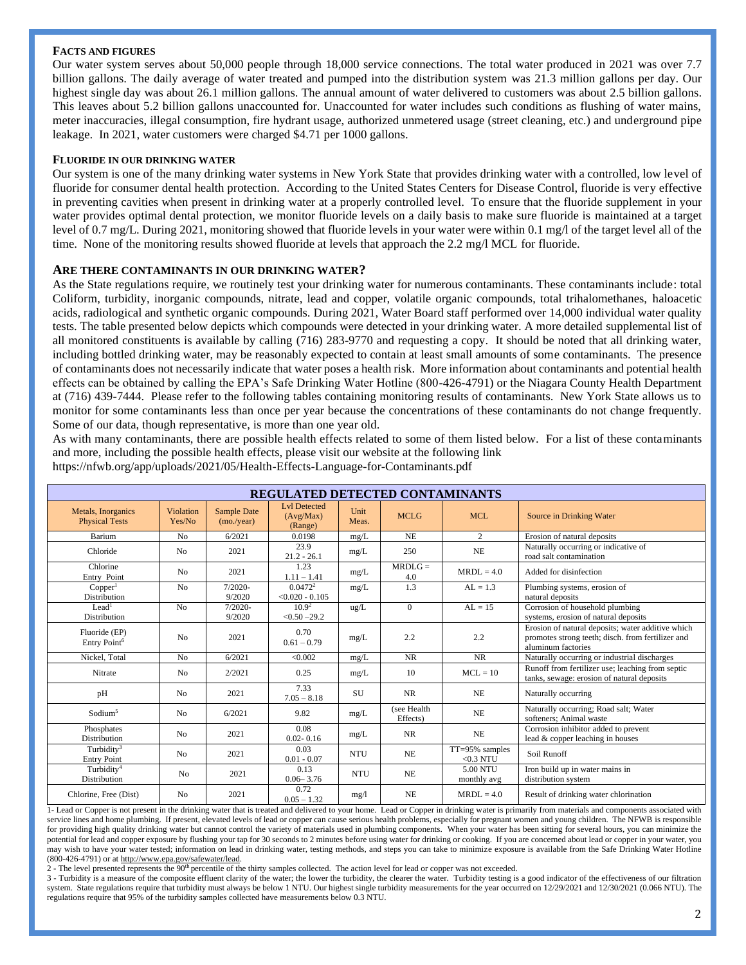## **FACTS AND FIGURES**

Our water system serves about 50,000 people through 18,000 service connections. The total water produced in 2021 was over 7.7 billion gallons. The daily average of water treated and pumped into the distribution system was 21.3 million gallons per day. Our highest single day was about 26.1 million gallons. The annual amount of water delivered to customers was about 2.5 billion gallons. This leaves about 5.2 billion gallons unaccounted for. Unaccounted for water includes such conditions as flushing of water mains, meter inaccuracies, illegal consumption, fire hydrant usage, authorized unmetered usage (street cleaning, etc.) and underground pipe leakage. In 2021, water customers were charged \$4.71 per 1000 gallons.

## **FLUORIDE IN OUR DRINKING WATER**

Our system is one of the many drinking water systems in New York State that provides drinking water with a controlled, low level of fluoride for consumer dental health protection. According to the United States Centers for Disease Control, fluoride is very effective in preventing cavities when present in drinking water at a properly controlled level. To ensure that the fluoride supplement in your water provides optimal dental protection, we monitor fluoride levels on a daily basis to make sure fluoride is maintained at a target level of 0.7 mg/L. During 2021, monitoring showed that fluoride levels in your water were within 0.1 mg/l of the target level all of the time. None of the monitoring results showed fluoride at levels that approach the 2.2 mg/l MCL for fluoride.

# **ARE THERE CONTAMINANTS IN OUR DRINKING WATER?**

As the State regulations require, we routinely test your drinking water for numerous contaminants. These contaminants include: total Coliform, turbidity, inorganic compounds, nitrate, lead and copper, volatile organic compounds, total trihalomethanes, haloacetic acids, radiological and synthetic organic compounds. During 2021, Water Board staff performed over 14,000 individual water quality tests. The table presented below depicts which compounds were detected in your drinking water. A more detailed supplemental list of all monitored constituents is available by calling (716) 283-9770 and requesting a copy. It should be noted that all drinking water, including bottled drinking water, may be reasonably expected to contain at least small amounts of some contaminants. The presence of contaminants does not necessarily indicate that water poses a health risk. More information about contaminants and potential health effects can be obtained by calling the EPA's Safe Drinking Water Hotline (800-426-4791) or the Niagara County Health Department at (716) 439-7444. Please refer to the following tables containing monitoring results of contaminants. New York State allows us to monitor for some contaminants less than once per year because the concentrations of these contaminants do not change frequently. Some of our data, though representative, is more than one year old.

As with many contaminants, there are possible health effects related to some of them listed below. For a list of these contaminants and more, including the possible health effects, please visit our website at the following link https://nfwb.org/app/uploads/2021/05/Health-Effects-Language-for-Contaminants.pdf

| <b>REGULATED DETECTED CONTAMINANTS</b>      |                     |                           |                                             |               |                          |                               |                                                                                                                              |  |  |  |
|---------------------------------------------|---------------------|---------------------------|---------------------------------------------|---------------|--------------------------|-------------------------------|------------------------------------------------------------------------------------------------------------------------------|--|--|--|
| Metals, Inorganics<br><b>Physical Tests</b> | Violation<br>Yes/No | Sample Date<br>(mo./year) | <b>Lvl Detected</b><br>(Avg/Max)<br>(Range) | Unit<br>Meas. | <b>MCLG</b>              | MCL                           | Source in Drinking Water                                                                                                     |  |  |  |
| Barium                                      | N <sub>o</sub>      | 6/2021                    | 0.0198                                      | mg/L          | <b>NE</b>                | 2                             | Erosion of natural deposits                                                                                                  |  |  |  |
| Chloride                                    | N <sub>o</sub>      | 2021                      | 23.9<br>$21.2 - 26.1$                       | mg/L          | 250                      | NE                            | Naturally occurring or indicative of<br>road salt contamination                                                              |  |  |  |
| Chlorine<br>Entry Point                     | N <sub>0</sub>      | 2021                      | 1.23<br>$1.11 - 1.41$                       | mg/L          | $MRDLG =$<br>4.0         | $MRDI = 4.0$                  | Added for disinfection                                                                                                       |  |  |  |
| Copper <sup>1</sup><br>Distribution         | N <sub>o</sub>      | $7/2020 -$<br>9/2020      | $0.0472^{2}$<br>$< 0.020 - 0.105$           | mg/L          | 1.3                      | $AI = 1.3$                    | Plumbing systems, erosion of<br>natural deposits                                                                             |  |  |  |
| Lead <sup>1</sup><br>Distribution           | N <sub>o</sub>      | $7/2020 -$<br>9/2020      | 10.9 <sup>2</sup><br>$< 0.50 - 29.2$        | ug/L          | $\overline{0}$           | $AL = 15$                     | Corrosion of household plumbing<br>systems, erosion of natural deposits                                                      |  |  |  |
| Fluoride (EP)<br>Entry Point <sup>6</sup>   | N <sub>0</sub>      | 2021                      | 0.70<br>$0.61 - 0.79$                       | mg/L          | 2.2                      | 2.2                           | Erosion of natural deposits; water additive which<br>promotes strong teeth; disch. from fertilizer and<br>aluminum factories |  |  |  |
| Nickel, Total                               | No                  | 6/2021                    | < 0.002                                     | mg/L          | <b>NR</b>                | <b>NR</b>                     | Naturally occurring or industrial discharges                                                                                 |  |  |  |
| Nitrate                                     | N <sub>0</sub>      | 2/2021                    | 0.25                                        | mg/L          | 10                       | $MCL = 10$                    | Runoff from fertilizer use; leaching from septic<br>tanks, sewage: erosion of natural deposits                               |  |  |  |
| pH                                          | N <sub>0</sub>      | 2021                      | 7.33<br>$7.05 - 8.18$                       | <b>SU</b>     | <b>NR</b>                | <b>NE</b>                     | Naturally occurring                                                                                                          |  |  |  |
| Sodium <sup>5</sup>                         | N <sub>0</sub>      | 6/2021                    | 9.82                                        | mg/L          | (see Health)<br>Effects) | NE                            | Naturally occurring; Road salt; Water<br>softeners: Animal waste                                                             |  |  |  |
| Phosphates<br><b>Distribution</b>           | N <sub>0</sub>      | 2021                      | 0.08<br>$0.02 - 0.16$                       | mg/L          | <b>NR</b>                | NE                            | Corrosion inhibitor added to prevent<br>lead & copper leaching in houses                                                     |  |  |  |
| Turbidity $3$<br><b>Entry Point</b>         | N <sub>0</sub>      | 2021                      | 0.03<br>$0.01 - 0.07$                       | <b>NTU</b>    | NE                       | TT=95% samples<br>$<$ 0.3 NTU | Soil Runoff                                                                                                                  |  |  |  |
| Turbidity <sup>4</sup><br>Distribution      | N <sub>0</sub>      | 2021                      | 0.13<br>$0.06 - 3.76$                       | <b>NTU</b>    | NE                       | 5.00 NTU<br>monthly avg       | Iron build up in water mains in<br>distribution system                                                                       |  |  |  |
| Chlorine, Free (Dist)                       | N <sub>0</sub>      | 2021                      | 0.72<br>$0.05 - 1.32$                       | mg/l          | <b>NE</b>                | $MRDI = 4.0$                  | Result of drinking water chlorination                                                                                        |  |  |  |

1- Lead or Copper is not present in the drinking water that is treated and delivered to your home. Lead or Copper in drinking water is primarily from materials and components associated with service lines and home plumbing. If present, elevated levels of lead or copper can cause serious health problems, especially for pregnant women and young children. The NFWB is responsible for providing high quality drinking water but cannot control the variety of materials used in plumbing components. When your water has been sitting for several hours, you can minimize the potential for lead and copper exposure by flushing your tap for 30 seconds to 2 minutes before using water for drinking or cooking. If you are concerned about lead or copper in your water, you may wish to have your water tested; information on lead in drinking water, testing methods, and steps you can take to minimize exposure is available from the Safe Drinking Water Hotline (800-426-4791) or a[t http://www.epa.gov/safewater/lead.](http://www.epa.gov/safewater/lead)

2 - The level presented represents the 90th percentile of the thirty samples collected. The action level for lead or copper was not exceeded.

3 - Turbidity is a measure of the composite effluent clarity of the water; the lower the turbidity, the clearer the water. Turbidity testing is a good indicator of the effectiveness of our filtration system. State regulations require that turbidity must always be below 1 NTU. Our highest single turbidity measurements for the year occurred on 12/29/2021 and 12/30/2021 (0.066 NTU). The regulations require that 95% of the turbidity samples collected have measurements below 0.3 NTU.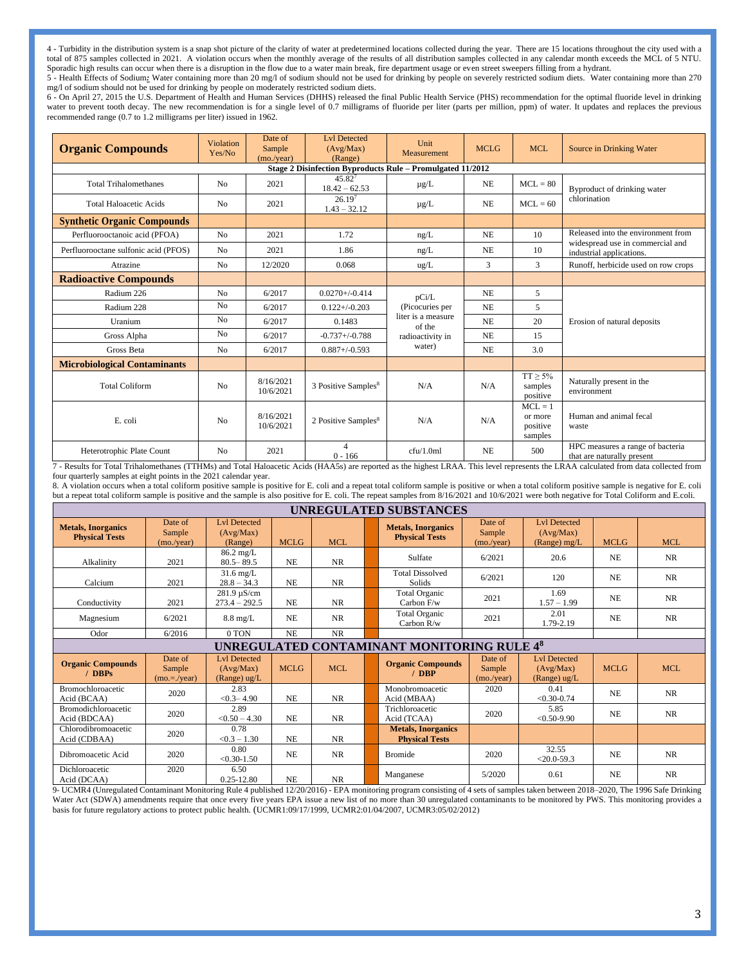4 - Turbidity in the distribution system is a snap shot picture of the clarity of water at predetermined locations collected during the year. There are 15 locations throughout the city used with a total of 875 samples collected in 2021. A violation occurs when the monthly average of the results of all distribution samples collected in any calendar month exceeds the MCL of 5 NTU. Sporadic high results can occur when there is a disruption in the flow due to a water main break, fire department usage or even street sweepers filling from a hydrant.

5 - Health Effects of Sodium*:* Water containing more than 20 mg/l of sodium should not be used for drinking by people on severely restricted sodium diets. Water containing more than 270 mg/l of sodium should not be used for drinking by people on moderately restricted sodium diets.

6 - On April 27, 2015 the U.S. Department of Health and Human Services (DHHS) released the final Public Health Service (PHS) recommendation for the optimal fluoride level in drinking water to prevent tooth decay. The new recommendation is for a single level of 0.7 milligrams of fluoride per liter (parts per million, ppm) of water. It updates and replaces the previous recommended range (0.7 to 1.2 milligrams per liter) issued in 1962.

| <b>Organic Compounds</b>                                   | Date of<br><b>Violation</b><br>Sample<br>Yes/No<br>(mo./year) |                        | <b>Lvl Detected</b><br>(Avg/Max)<br>(Range) | Unit<br><b>MCLG</b><br>Measurement |                                             | <b>MCL</b>                                  | Source in Drinking Water                                       |  |  |  |
|------------------------------------------------------------|---------------------------------------------------------------|------------------------|---------------------------------------------|------------------------------------|---------------------------------------------|---------------------------------------------|----------------------------------------------------------------|--|--|--|
| Stage 2 Disinfection Byproducts Rule - Promulgated 11/2012 |                                                               |                        |                                             |                                    |                                             |                                             |                                                                |  |  |  |
| <b>Total Trihalomethanes</b>                               | N <sub>o</sub>                                                | 2021                   | $45.82^{7}$<br>$18.42 - 62.53$              | $\mu$ g/L                          | <b>NE</b>                                   | $MCL = 80$                                  | Byproduct of drinking water                                    |  |  |  |
| <b>Total Haloacetic Acids</b>                              | N <sub>o</sub>                                                | 2021                   | 26.19 <sup>7</sup><br>$1.43 - 32.12$        | $\mu$ g/L                          | <b>NE</b>                                   | $MCL = 60$                                  | chlorination                                                   |  |  |  |
| <b>Synthetic Organic Compounds</b>                         |                                                               |                        |                                             |                                    |                                             |                                             |                                                                |  |  |  |
| Perfluorooctanoic acid (PFOA)                              | No                                                            | 2021                   | 1.72                                        | ng/L                               | <b>NE</b>                                   | 10                                          | Released into the environment from                             |  |  |  |
| Perfluorooctane sulfonic acid (PFOS)                       | N <sub>o</sub>                                                | 2021                   | 1.86                                        | ng/L                               | <b>NE</b>                                   | 10                                          | widespread use in commercial and<br>industrial applications.   |  |  |  |
| Atrazine                                                   | N <sub>o</sub>                                                | 12/2020                | 0.068                                       | ug/L                               | 3                                           | 3                                           | Runoff, herbicide used on row crops                            |  |  |  |
| <b>Radioactive Compounds</b>                               |                                                               |                        |                                             |                                    |                                             |                                             |                                                                |  |  |  |
| Radium 226                                                 | N <sub>o</sub>                                                | 6/2017                 | $0.0270 + (-0.414)$                         | pCi/L                              | NE                                          | 5                                           |                                                                |  |  |  |
| Radium 228                                                 | N <sub>o</sub>                                                | 6/2017                 | $0.122 + (-0.203)$                          | (Picocuries per                    | NE                                          | 5                                           |                                                                |  |  |  |
| Uranium                                                    | No                                                            | 6/2017                 | 0.1483                                      | liter is a measure<br>of the       | <b>NE</b>                                   | 20                                          | Erosion of natural deposits                                    |  |  |  |
| Gross Alpha                                                | N <sub>o</sub>                                                | 6/2017                 | $-0.737 + (-0.788)$                         | radioactivity in                   | <b>NE</b>                                   | 15                                          |                                                                |  |  |  |
| Gross Beta                                                 | No                                                            | 6/2017                 | $0.887 + (-0.593)$                          | water)                             | <b>NE</b>                                   | 3.0                                         |                                                                |  |  |  |
| <b>Microbiological Contaminants</b>                        |                                                               |                        |                                             |                                    |                                             |                                             |                                                                |  |  |  |
| <b>Total Coliform</b><br>No                                |                                                               | 8/16/2021<br>10/6/2021 | 3 Positive Samples <sup>8</sup>             | N/A                                | $TT \geq 5\%$<br>N/A<br>samples<br>positive |                                             | Naturally present in the<br>environment                        |  |  |  |
| E. coli                                                    | No                                                            | 8/16/2021<br>10/6/2021 | 2 Positive Samples <sup>8</sup>             | N/A                                | N/A                                         | $MCL = 1$<br>or more<br>positive<br>samples | Human and animal fecal<br>waste                                |  |  |  |
| Heterotrophic Plate Count<br>N <sub>o</sub>                |                                                               | 2021                   | 4<br>$0 - 166$                              | cfu/1.0ml                          | <b>NE</b>                                   | 500                                         | HPC measures a range of bacteria<br>that are naturally present |  |  |  |

7 - Results for Total Trihalomethanes (TTHMs) and Total Haloacetic Acids (HAA5s) are reported as the highest LRAA. This level represents the LRAA calculated from data collected from four quarterly samples at eight points in the 2021 calendar year.

8. A violation occurs when a total coliform positive sample is positive for E. coli and a repeat total coliform sample is positive or when a total coliform positive sample is negative for E. coli but a repeat total coliform sample is positive and the sample is also positive for E. coli. The repeat samples from 8/16/2021 and 10/6/2021 were both negative for Total Coliform and E.coli.

| UNREGULATED SUBSTANCES                             |                                     |                                                       |                |            |  |                                                    |                                 |                                                       |                |            |  |
|----------------------------------------------------|-------------------------------------|-------------------------------------------------------|----------------|------------|--|----------------------------------------------------|---------------------------------|-------------------------------------------------------|----------------|------------|--|
| <b>Metals, Inorganics</b><br><b>Physical Tests</b> | Date of<br>Sample<br>(mo./year)     | <b>Lvl Detected</b><br>(Avg/Max)<br>(Range)           | <b>MCLG</b>    | MCL        |  | <b>Metals, Inorganics</b><br><b>Physical Tests</b> | Date of<br>Sample<br>(mo./year) | <b>Lvl Detected</b><br>(Avg/Max)<br>(Range) $mg/L$    | <b>MCLG</b>    | MCL        |  |
| Alkalinity                                         | 2021                                | $86.2 \text{ mg/L}$<br>$80.5 - 89.5$                  | <b>NE</b>      | <b>NR</b>  |  | Sulfate                                            | 6/2021                          | 20.6                                                  | NE             | NR         |  |
| Calcium                                            | 2021                                | $31.6 \text{ mg/L}$<br>$28.8 - 34.3$                  | N <sub>E</sub> | <b>NR</b>  |  | <b>Total Dissolved</b><br><b>Solids</b>            | 6/2021                          | 120                                                   | N <sub>E</sub> | NR.        |  |
| Conductivity                                       | 2021                                | $281.9 \,\mu S/cm$<br>$273.4 - 292.5$                 | N <sub>E</sub> | <b>NR</b>  |  | <b>Total Organic</b><br>Carbon F/w                 | 2021                            | 1.69<br>$1.57 - 1.99$                                 | NE             | NR         |  |
| Magnesium                                          | 6/2021                              | $8.8 \text{ mg/L}$                                    | NE             | <b>NR</b>  |  | Total Organic<br>Carbon R/w                        | 2021                            | 2.01<br>1.79-2.19                                     | NE             | <b>NR</b>  |  |
| Odor                                               | 6/2016                              | 0 TON                                                 | <b>NE</b>      | <b>NR</b>  |  |                                                    |                                 |                                                       |                |            |  |
| UNREGULATED CONTAMINANT MONITORING RULE 48         |                                     |                                                       |                |            |  |                                                    |                                 |                                                       |                |            |  |
| <b>Organic Compounds</b><br>$/$ DBPs               | Date of<br>Sample<br>$(mo = /year)$ | <b>Lvl Detected</b><br>(Avg/Max)<br>(Range) $\mu g/L$ | <b>MCLG</b>    | <b>MCL</b> |  | <b>Organic Compounds</b><br>$/$ DBP                | Date of<br>Sample<br>(mo./year) | <b>Lvl Detected</b><br>(Avg/Max)<br>(Range) $\mu g/L$ | <b>MCLG</b>    | <b>MCL</b> |  |
| <b>Bromochloroacetic</b><br>Acid (BCAA)            | 2020                                | 2.83<br>$< 0.3 - 4.90$                                | N <sub>E</sub> | <b>NR</b>  |  | Monobromoacetic<br>Acid (MBAA)                     | 2020                            | 0.41<br>$< 0.30 - 0.74$                               | N <sub>E</sub> | <b>NR</b>  |  |
| <b>Bromodichloroacetic</b><br>Acid (BDCAA)         | 2020                                | 2.89<br>$< 0.50 - 4.30$                               | N <sub>E</sub> | <b>NR</b>  |  | Trichloroacetic<br>Acid (TCAA)                     | 2020                            | 5.85<br>$< 0.50 - 9.90$                               | NE             | <b>NR</b>  |  |
| Chlorodibromoacetic<br>Acid (CDBAA)                | 2020                                | 0.78<br>$< 0.3 - 1.30$                                | N <sub>E</sub> | <b>NR</b>  |  | <b>Metals, Inorganics</b><br><b>Physical Tests</b> |                                 |                                                       |                |            |  |
| Dibromoacetic Acid                                 | 2020                                | 0.80<br>$< 0.30 - 1.50$                               | N <sub>E</sub> | <b>NR</b>  |  | <b>Bromide</b>                                     | 2020                            | 32.55<br>$<$ 20.0-59.3                                | NE             | <b>NR</b>  |  |
| Dichloroacetic<br>Acid (DCAA)                      | 2020                                | 6.50<br>$0.25 - 12.80$                                | N <sub>E</sub> | <b>NR</b>  |  | Manganese                                          | 5/2020                          | 0.61                                                  | NE             | <b>NR</b>  |  |

9- UCMR4 (Unregulated Contaminant Monitoring Rule 4 published 12/20/2016) - EPA monitoring program consisting of 4 sets of samples taken between 2018–2020, The 1996 Safe Drinking Water Act (SDWA) amendments require that once every five years EPA issue a new list of no more than 30 unregulated contaminants to be monitored by PWS. This monitoring provides a basis for future regulatory actions to protect public health. (UCMR1:09/17/1999, UCMR2:01/04/2007, UCMR3:05/02/2012)